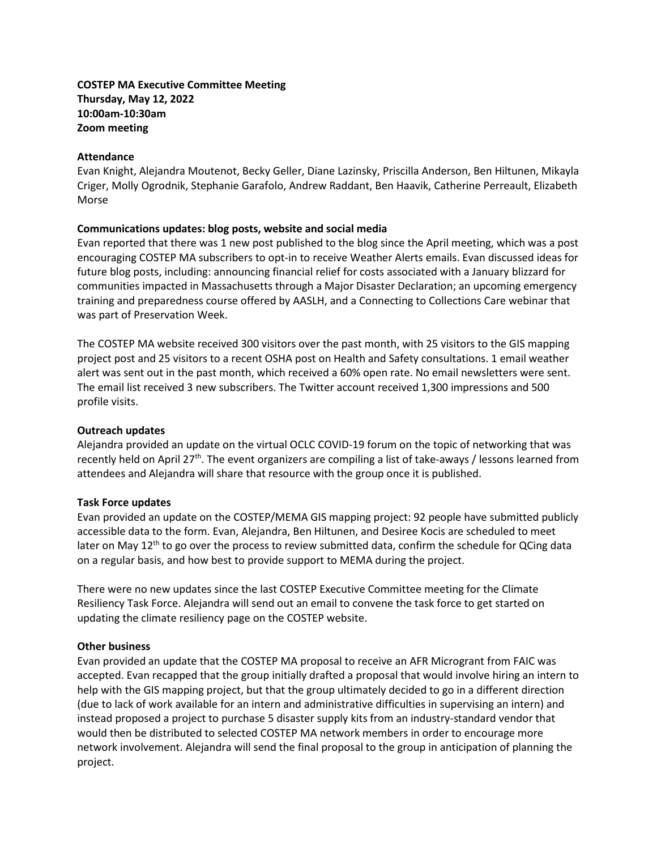# **COSTEP MA Executive Committee Meeting Thursday, May 12, 2022 10:00am-10:30am Zoom meeting**

#### **Attendance**

Evan Knight, Alejandra Moutenot, Becky Geller, Diane Lazinsky, Priscilla Anderson, Ben Hiltunen, Mikayla Criger, Molly Ogrodnik, Stephanie Garafolo, Andrew Raddant, Ben Haavik, Catherine Perreault, Elizabeth Morse

#### **Communications updates: blog posts, website and social media**

Evan reported that there was 1 new post published to the blog since the April meeting, which was a post encouraging COSTEP MA subscribers to opt-in to receive Weather Alerts emails. Evan discussed ideas for future blog posts, including: announcing financial relief for costs associated with a January blizzard for communities impacted in Massachusetts through a Major Disaster Declaration; an upcoming emergency training and preparedness course offered by AASLH, and a Connecting to Collections Care webinar that was part of Preservation Week.

The COSTEP MA website received 300 visitors over the past month, with 25 visitors to the GIS mapping project post and 25 visitors to a recent OSHA post on Health and Safety consultations. 1 email weather alert was sent out in the past month, which received a 60% open rate. No email newsletters were sent. The email list received 3 new subscribers. The Twitter account received 1,300 impressions and 500 profile visits.

#### **Outreach updates**

Alejandra provided an update on the virtual OCLC COVID-19 forum on the topic of networking that was recently held on April 27th. The event organizers are compiling a list of take-aways / lessons learned from attendees and Alejandra will share that resource with the group once it is published.

## **Task Force updates**

Evan provided an update on the COSTEP/MEMA GIS mapping project: 92 people have submitted publicly accessible data to the form. Evan, Alejandra, Ben Hiltunen, and Desiree Kocis are scheduled to meet later on May  $12<sup>th</sup>$  to go over the process to review submitted data, confirm the schedule for QCing data on a regular basis, and how best to provide support to MEMA during the project.

There were no new updates since the last COSTEP Executive Committee meeting for the Climate Resiliency Task Force. Alejandra will send out an email to convene the task force to get started on updating the climate resiliency page on the COSTEP website.

## **Other business**

Evan provided an update that the COSTEP MA proposal to receive an AFR Microgrant from FAIC was accepted. Evan recapped that the group initially drafted a proposal that would involve hiring an intern to help with the GIS mapping project, but that the group ultimately decided to go in a different direction (due to lack of work available for an intern and administrative difficulties in supervising an intern) and instead proposed a project to purchase 5 disaster supply kits from an industry-standard vendor that would then be distributed to selected COSTEP MA network members in order to encourage more network involvement. Alejandra will send the final proposal to the group in anticipation of planning the project.